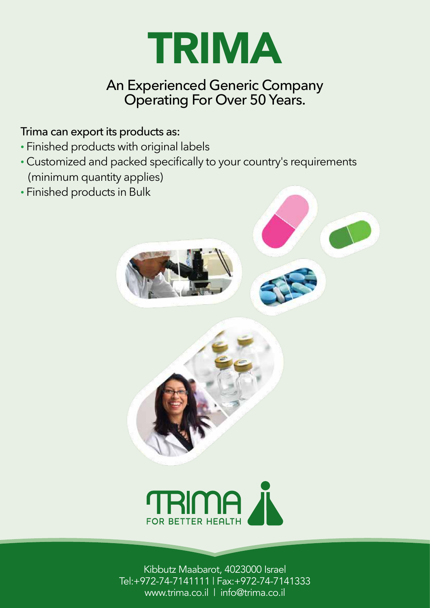

# An Experienced Generic Company Operating For Over 50 Years.

#### Trima can export its products as:

- Finished products with original labels
- Customized and packed specifically to your country's requirements (minimum quantity applies)
- Finished products in Bulk









Kibbutz Maabarot, 4023000 Israel Tel:+972-74-7141111 | Fax:+972-74-7141333 www.trima.co.il | info@trima.co.il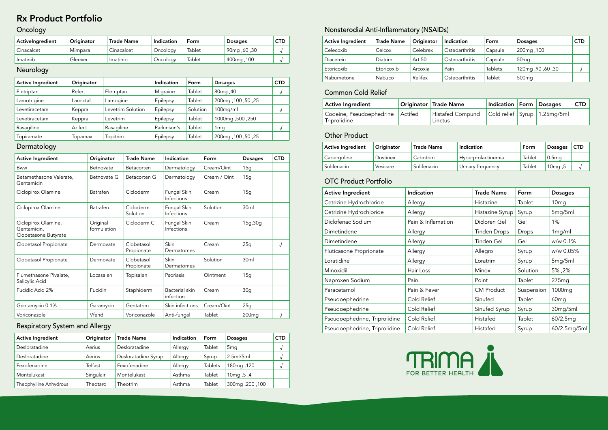#### Dermatology

### Neurology

# Rx Product Portfolio

#### Oncology

| Activelngredient | Originator | <b>Trade Name</b> | Indication | Form   | <b>Dosages</b>         | <b>CTD</b> |
|------------------|------------|-------------------|------------|--------|------------------------|------------|
| Cinacalcet       | Mimpara    | Cinacalcet        | Oncology   | Tablet | 90mg, 60, 00           |            |
| Imatinib         | Gleevec    | Imatinib          | Oncology   | Tablet | 100 <sub>mg</sub> ,100 |            |

| <b>Active Ingredient</b> | Originator     |                   | Indication  | Form     | <b>Dosages</b>     | <b>CTD</b> |
|--------------------------|----------------|-------------------|-------------|----------|--------------------|------------|
| Eletriptan               | Relert         | Eletriptan        | Migraine    | Tablet   | 80mg, 40           | N          |
| Lamotrigine              | Lamictal       | Lamogine          | Epilepsy    | Tablet   | 25, 50, 100, 200mg |            |
| Levetiracetam            | Keppra         | Levetrim Solution | Epilepsy    | Solution | $100$ mg/ml        | N          |
| Levetiracetam            | Keppra         | _evetrim          | Epilepsy    | Tablet   | 1000mg, 500, 250   |            |
| Rasagiline               | Azilect        | Rasagiline        | Parkinson's | Tablet   | 1 <sub>mg</sub>    | V          |
| Topiramate               | <b>lopamax</b> | Topitrim          | Epilepsy    | Tablet   | 25, 50, 100, 200mg |            |

| <b>Active Ingredient</b> | Originator | <b>Trade Name</b>   | Indication | Form           | <b>Dosages</b>           | <b>CTD</b> |
|--------------------------|------------|---------------------|------------|----------------|--------------------------|------------|
| Desloratadine            | Aerius     | Desloratadine       | Allergy    | Tablet         | 5 <sub>mq</sub>          |            |
| Desloratadine            | Aerius     | Desloratadine Syrup | Allergy    | Syrup          | 2.5ml/5ml                |            |
| Fexofenadine             | Telfast    | Fexofenadine        | Allergy    | <b>Tablets</b> | 180mg, 120               |            |
| Montelukast              | Singulair  | Montelukast         | Asthma     | Tablet         | 10 <sub>mg</sub> , 5, 10 |            |
| Theophylline Anhydrous   | Theotard   | Theotrim            | Asthma     | Tablet         | 300mg, 200, 100          |            |

## Nonsterodial Anti-Inflammatory (NSAIDs)

| <b>Active Ingredient</b>                                   | Originator              | <b>Trade Name</b>        | Indication                         | Form         | <b>Dosages</b>    | <b>CTD</b> |
|------------------------------------------------------------|-------------------------|--------------------------|------------------------------------|--------------|-------------------|------------|
| Bww                                                        | Betnovate               | Betacorten               | Dermatology                        | Cream/Oint   | 15g               |            |
| Betamethasone Valerate,<br>Gentamicin                      | Betnovate G             | Betacorten G             | Dermatology                        | Cream / Oint | 15g               |            |
| Ciclopirox Olamine                                         | <b>Batrafen</b>         | Cicloderm                | Fungal Skin<br>Infections          | Cream        | 15g               |            |
| Ciclopirox Olamine                                         | <b>Batrafen</b>         | Cicloderm<br>Solution    | Fungal Skin<br>Infections          | Solution     | 30 <sub>ml</sub>  |            |
| Ciclopirox Olamine,<br>Gentamicin,<br>Clobetasone Butyrate | Original<br>formulation | Cicloderm C              | Fungal Skin<br>Infections          | Cream        | 15g, 30g          |            |
| Clobetasol Propionate                                      | Dermovate               | Clobetasol<br>Propionate | Skin<br>Dermatomes                 | Cream        | 25g               | $\sqrt{ }$ |
| Clobetasol Propionate                                      | Dermovate               | Clobetasol<br>Propionate | Skin<br>Dermatomes                 | Solution     | 30ml              |            |
| Flumethasone Pivalate,<br>Salicylic Acid                   | Locasalen               | Topisalen                | Psoriasis                          | Ointment     | 15g               |            |
| Fucidic Acid 2%                                            | Fucidin                 | Staphiderm               | <b>Bacterial</b> skin<br>infection | Cream        | 30 <sub>q</sub>   |            |
| Gentamycin 0.1%                                            | Garamycin               | Gentatrim                | Skin infections                    | Cream/Oint   | 25g               |            |
| Voriconazole                                               | Vfend                   | Voriconazole             | Anti-fungal                        | Tablet       | 200 <sub>mg</sub> | √          |

#### Respiratory System and Allergy

| <b>Active Ingredient</b> | <b>Trade Name</b> | Originator | Indication     | Form           | <b>Dosages</b>    | <b>CTD</b> |
|--------------------------|-------------------|------------|----------------|----------------|-------------------|------------|
| Celecoxib                | Celcox            | Celebrex   | Osteoarthritis | Capsule        | 200mg, 100        |            |
| Diacerein                | Diatrim           | Art 50     | Osteoarthritis | Capsule        | 50 <sub>mg</sub>  |            |
| Etoricoxib               | Etoricoxib        | Arcoxia    | Pain           | <b>Tablets</b> | 120mg, 90, 60, 30 |            |
| Nabumetone               | <b>Nabuco</b>     | Relifex    | Osteoarthritis | Tablet         | 500 <sub>mg</sub> |            |

### Common Cold Relief

| Active Ingredient                                             | Originator Trade Name              | Indication   Form   Dosages |                                  | <b>CTD</b> |
|---------------------------------------------------------------|------------------------------------|-----------------------------|----------------------------------|------------|
| <sup>1</sup> Codeine, Pseudoephedrine Actifed<br>Triprolidine | <b>Histafed Compund</b><br>Linctus |                             | Cold relief   Syrup   1.25mg/5ml |            |

## **Other Product**

| <b>Active Ingredient</b>      | Indication         | <b>Trade Name</b>   | Form       | <b>Dosages</b>     |
|-------------------------------|--------------------|---------------------|------------|--------------------|
| Cetrizine Hydrochloride       | Allergy            | Histazine           | Tablet     | 10 <sub>mg</sub>   |
| Cetrizine Hydrochloride       | Allergy            | Histazine Syrup     | Syrup      | 5mg/5ml            |
| Diclofenac Sodium             | Pain & Inflamation | Dicloren Gel        | Gel        | 1%                 |
| Dimetindene                   | Allergy            | <b>Tinden Drops</b> | Drops      | 1mg/ml             |
| Dimetindene                   | Allergy            | Tinden Gel          | Gel        | w/w 0.1%           |
| Fluticasone Proprionate       | Allergy            | Allegro             | Syrup      | w/w 0.05%          |
| Loratidine                    | Allergy            | Loratrim            | Syrup      | 5mg/5ml            |
| Minoxidil                     | Hair Loss          | Minoxi              | Solution   | 5%, 5%             |
| Naproxen Sodium               | Pain               | Point               | Tablet     | 275mg              |
| Paracetamol                   | Pain & Fever       | <b>CM Product</b>   | Suspension | 1000 <sub>mg</sub> |
| Pseudoephedrine               | Cold Relief        | Sinufed             | Tablet     | 60 <sub>mg</sub>   |
| Pseudoephedrine               | Cold Relief        | Sinufed Syrup       | Syrup      | 30mg/5ml           |
| Pseudoephedrine, Triprolidine | Cold Relief        | Histafed            | Tablet     | 60/2.5mg           |
| Pseudoephedrine, Triprolidine | Cold Relief        | Histafed            | Syrup      | 60/2.5mg/5ml       |



| <b>Active Ingredient</b> | Originator | <b>Trade Name</b> | Indication         | Form   | <b>Dosages</b>    | <b>CTD</b> |
|--------------------------|------------|-------------------|--------------------|--------|-------------------|------------|
| Cabergoline              | Dostinex   | Cabotrim          | Hyperprolactinemia | Tablet | 0.5 <sub>mq</sub> |            |
| Solifenacin              | Vesicare   | Solifenacin       | Urinary frequency  | Tablet | 10 $mg$ , 5       |            |

### **OTC Product Portfolio**